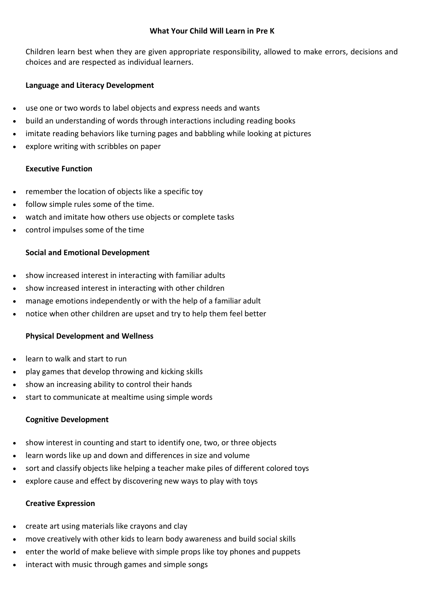## **What Your Child Will Learn in Pre K**

Children learn best when they are given appropriate responsibility, allowed to make errors, decisions and choices and are respected as individual learners.

# **Language and Literacy Development**

- use one or two words to label objects and express needs and wants
- build an understanding of words through interactions including reading books
- imitate reading behaviors like turning pages and babbling while looking at pictures
- explore writing with scribbles on paper

## **Executive Function**

- remember the location of objects like a specific toy
- follow simple rules some of the time.
- watch and imitate how others use objects or complete tasks
- control impulses some of the time

## **Social and Emotional Development**

- show increased interest in interacting with familiar adults
- show increased interest in interacting with other children
- manage emotions independently or with the help of a familiar adult
- notice when other children are upset and try to help them feel better

### **Physical Development and Wellness**

- learn to walk and start to run
- play games that develop throwing and kicking skills
- show an increasing ability to control their hands
- start to communicate at mealtime using simple words

### **Cognitive Development**

- show interest in counting and start to identify one, two, or three objects
- learn words like up and down and differences in size and volume
- sort and classify objects like helping a teacher make piles of different colored toys
- explore cause and effect by discovering new ways to play with toys

### **Creative Expression**

- create art using materials like crayons and clay
- move creatively with other kids to learn body awareness and build social skills
- enter the world of make believe with simple props like toy phones and puppets
- interact with music through games and simple songs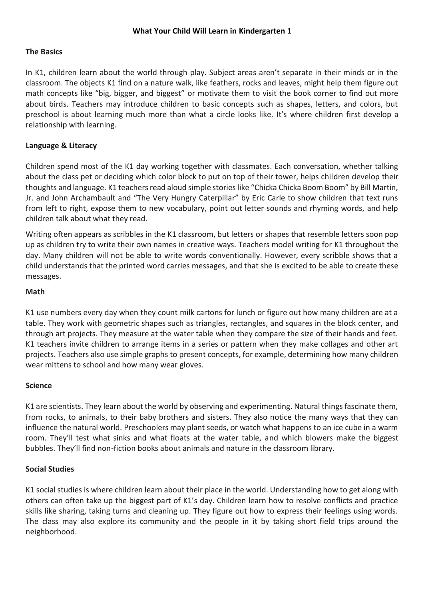## **The Basics**

In K1, children learn about the world through play. Subject areas aren't separate in their minds or in the classroom. The objects K1 find on a nature walk, like feathers, rocks and leaves, might help them figure out math concepts like "big, bigger, and biggest" or motivate them to visit the book corner to find out more about birds. Teachers may introduce children to basic concepts such as shapes, letters, and colors, but preschool is about learning much more than what a circle looks like. It's where children first develop a relationship with learning.

## **Language & Literacy**

Children spend most of the K1 day working together with classmates. Each conversation, whether talking about the class pet or deciding which color block to put on top of their tower, helps children develop their thoughts and language. K1 teachers read aloud simple stories like "Chicka Chicka Boom Boom" by Bill Martin, Jr. and John Archambault and "The Very Hungry Caterpillar" by Eric Carle to show children that text runs from left to right, expose them to new vocabulary, point out letter sounds and rhyming words, and help children talk about what they read.

Writing often appears as scribbles in the K1 classroom, but letters or shapes that resemble letters soon pop up as children try to write their own names in creative ways. Teachers model writing for K1 throughout the day. Many children will not be able to write words conventionally. However, every scribble shows that a child understands that the printed word carries messages, and that she is excited to be able to create these messages.

### **Math**

K1 use numbers every day when they count milk cartons for lunch or figure out how many children are at a table. They work with geometric shapes such as triangles, rectangles, and squares in the block center, and through art projects. They measure at the water table when they compare the size of their hands and feet. K1 teachers invite children to arrange items in a series or pattern when they make collages and other art projects. Teachers also use simple graphs to present concepts, for example, determining how many children wear mittens to school and how many wear gloves.

### **Science**

K1 are scientists. They learn about the world by observing and experimenting. Natural things fascinate them, from rocks, to animals, to their baby brothers and sisters. They also notice the many ways that they can influence the natural world. Preschoolers may plant seeds, or watch what happens to an ice cube in a warm room. They'll test what sinks and what floats at the water table, and which blowers make the biggest bubbles. They'll find non-fiction books about animals and nature in the classroom library.

### **Social Studies**

K1 social studies is where children learn about their place in the world. Understanding how to get along with others can often take up the biggest part of K1's day. Children learn how to resolve conflicts and practice skills like sharing, taking turns and cleaning up. They figure out how to express their feelings using words. The class may also explore its community and the people in it by taking short field trips around the neighborhood.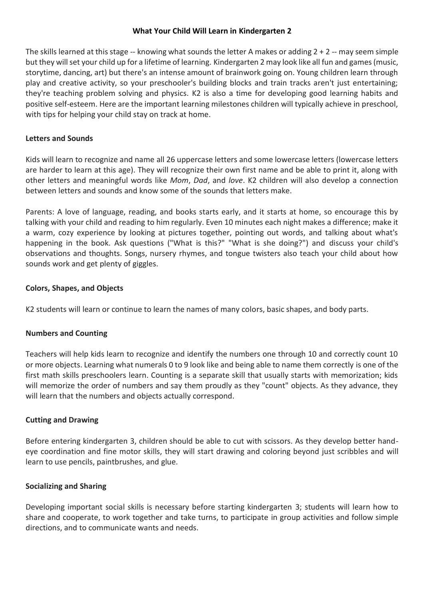## **What Your Child Will Learn in Kindergarten 2**

The skills learned at this stage  $-$  knowing what sounds the letter A makes or adding  $2 + 2 -$  may seem simple but they will set your child up for a lifetime of learning. Kindergarten 2 may look like all fun and games (music, storytime, dancing, art) but there's an intense amount of brainwork going on. Young children learn through play and creative activity, so your preschooler's building blocks and train tracks aren't just entertaining; they're teaching problem solving and physics. K2 is also a time for developing good learning habits and positive self-esteem. Here are the important learning milestones children will typically achieve in preschool, with tips for helping your child stay on track at home.

# **Letters and Sounds**

Kids will learn to recognize and name all 26 uppercase letters and some lowercase letters (lowercase letters are harder to learn at this age). They will recognize their own first name and be able to print it, along with other letters and meaningful words like *Mom*, *Dad*, and *love*. K2 children will also develop a connection between letters and sounds and know some of the sounds that letters make.

Parents: A love of language, reading, and books starts early, and it starts at home, so encourage this by talking with your child and reading to him regularly. Even 10 minutes each night makes a difference; make it a warm, cozy experience by looking at pictures together, pointing out words, and talking about what's happening in the book. Ask questions ("What is this?" "What is she doing?") and discuss your child's observations and thoughts. Songs, nursery rhymes, and tongue twisters also teach your child about how sounds work and get plenty of giggles.

## **Colors, Shapes, and Objects**

K2 students will learn or continue to learn the names of many colors, basic shapes, and body parts.

# **Numbers and Counting**

Teachers will help kids learn to recognize and identify the numbers one through 10 and correctly count 10 or more objects. Learning what numerals 0 to 9 look like and being able to name them correctly is one of the first math skills preschoolers learn. Counting is a separate skill that usually starts with memorization; kids will memorize the order of numbers and say them proudly as they "count" objects. As they advance, they will learn that the numbers and objects actually correspond.

### **Cutting and Drawing**

Before entering kindergarten 3, children should be able to cut with scissors. As they develop better handeye coordination and fine motor skills, they will start drawing and coloring beyond just scribbles and will learn to use pencils, paintbrushes, and glue.

# **Socializing and Sharing**

Developing important social skills is necessary before starting kindergarten 3; students will learn how to share and cooperate, to work together and take turns, to participate in group activities and follow simple directions, and to communicate wants and needs.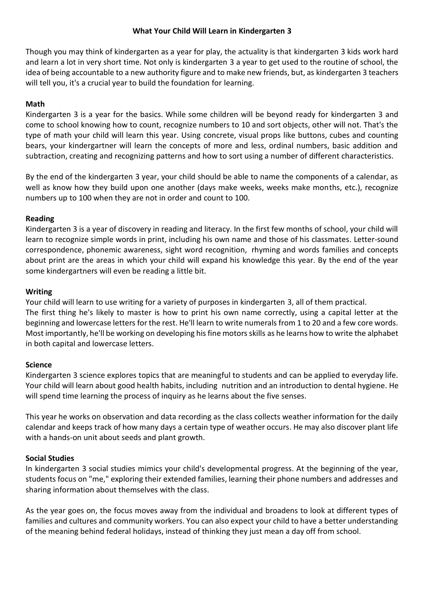## **What Your Child Will Learn in Kindergarten 3**

Though you may think of kindergarten as a year for play, the actuality is that kindergarten 3 [kids work hard](https://www.verywell.com/what-are-kindergarten-readiness-screenings-actually-for-2601503) and learn a lot in very short time. Not only is kindergarten 3 a year to get used to the routine of school, the idea of being accountable to a new authority figure and to make new friends, but, as [kindergarten](https://www.verywell.com/things-kindergarten-teachers-wish-parents-knew-620806) 3 teachers [will tell you,](https://www.verywell.com/things-kindergarten-teachers-wish-parents-knew-620806) it's a crucial year to build the foundation for learning.

# **Math**

Kindergarten 3 is a year for the basics. While some children will be beyond [ready for kindergarten](https://www.verywell.com/kindergarten-readiness-checklist-620907) 3 and come to [school knowing](https://www.verywell.com/calming-first-day-kindergarten-anxiety-620865) how to count, recognize numbers to 10 and sort objects, other will not. That's the type of math your child will learn this year. Using [concrete, visual props](https://www.verywell.com/what-do-kids-learn-in-1st-grade-620990) like buttons, cubes and counting bears, your kindergartner will learn the concepts of more and less, ordinal numbers, basic addition and subtraction, creating and recognizing patterns and how to sort using a number of different characteristics.

By the end of the kindergarten 3 year, your child should be able to name the components of a calendar, as well as know how they build upon one another (days make weeks, weeks make months, etc.), recognize numbers up to 100 when they are not in order and count to 100.

# **Reading**

Kindergarten 3 is a year of discovery in reading and literacy. In the first few months of school, your child will learn to recognize simple words in print, including his own name and those of his classmates. Letter-sound correspondence, phonemic awareness, [sight word](https://www.verywell.com/what-are-core-words-620850) recognition, rhyming and words families and concepts about print are the areas in which your child will expand his knowledge this year. By the end of the year some kindergartners will even be reading a little bit.

# **Writing**

Your child will learn to use writing for a variety of purposes in kindergarten 3, all of them practical. The first thing he's likely to master is how to print his own name correctly, using a capital letter at the beginning and lowercase letters for the rest. He'll learn to write numerals from 1 to 20 and a few core words. Most importantly, he'll be working o[n developing his fine motors skills](https://www.verywell.com/activities-to-improve-fine-motor-skills-620864) as he learns how to write the alphabet in both capital and lowercase letters.

# **Science**

Kindergarten 3 science explores topics that are meaningful to students and can be applied to everyday life. Your child will learn about good health habits, including [nutrition](https://www.verywell.com/is-your-kid-eating-healthy-2507706) and an introduction to [dental hygiene.](https://www.verywell.com/dental-health-guide-for-children-2632281) He will spend time learning the process of inquiry as he learns about the five senses.

This year he works on observation and data recording as the class collects weather information for the daily calendar and keeps track of how many days a certain type of weather occurs. He may also discover plant life with a hands-on unit about seeds and plant growth.

# **Social Studies**

In kindergarten 3 [social studies](https://www.verywell.com/what-is-social-studies-620987) mimics your child's developmental progress. At the beginning of the year, students focus on "me," exploring their extended families, learning their phone numbers and addresses and sharing information about themselves with the class.

As the year goes on, the focus moves away from the individual and broadens to look at different types of families and cultures and community workers. You can also expect your child to have a better understanding of the meaning behind federal holidays, instead of thinking they just mean a day off from school.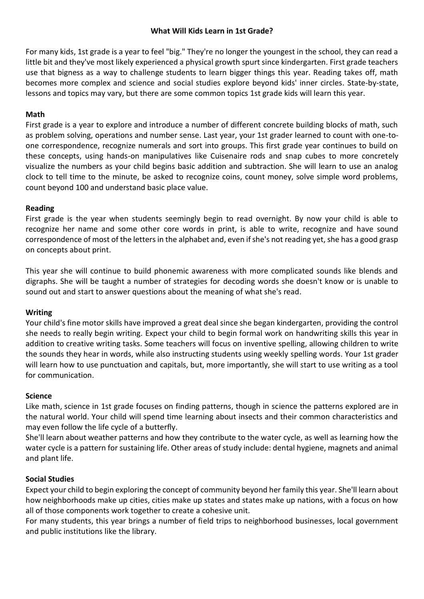## **What Will Kids Learn in 1st Grade?**

For many kids, 1st grade is a year to feel "big." They're no longer the youngest in the school, they can read a little bit and they've most likely experienced a physical growth spurt since kindergarten. First grade teachers use that bigness as a way to challenge students to learn bigger things this year. Reading takes off, math becomes more complex and science and [social studies](https://www.verywell.com/what-is-social-studies-620987) explore beyond kids' inner circles. State-by-state, lessons and topics may vary, but there are some common topics 1st grade kids will learn this year.

## **Math**

First grade is a year to explore and introduce a number of different concrete building blocks of math, such as problem solving, operations and number sense. Last year, your 1st grader learned to count with one-toone correspondence, recognize numerals and sort into groups. This first grade year continues to build on these concepts, using hands-on manipulatives like Cuisenaire rods and snap cubes to more concretely visualize the numbers as your child begins basic addition and subtraction. She will learn to use an analog clock to tell time to the minute, be asked to recognize coins, count money, solve simple word problems, count beyond 100 and understand basic place value.

## **Reading**

First grade is the year when students seemingly begin to read overnight. By now your child is able to recognize her name and some other [core words](https://www.verywell.com/what-are-core-words-620850) in print, is able to write, recognize and have sound correspondence of most of the letters in the alphabet and, even if she's not reading yet, she has a good grasp on concepts about print.

This year she will continue to build phonemic awareness with more complicated sounds like blends and digraphs. She will be taught a number of strategies for [decoding](https://www.verywell.com/what-are-decoding-skills-620853) words she doesn't know or is unable to sound out and start to answer questions about the meaning of what she's read.

# **Writing**

Your child's [fine motor skills have improved](https://www.verywell.com/activities-to-improve-fine-motor-skills-620864) a great deal since she began kindergarten, providing the control she needs to really begin writing. Expect your child to begin formal work on handwriting skills this year in addition to creative writing tasks. Some teachers will focus on [inventive spelling,](https://www.verywell.com/what-is-inventive-spelling-620901) allowing children to write the sounds they hear in words, while also instructing students using weekly [spelling words.](https://www.verywell.com/new-ways-practice-spelling-words-at-home-620973) Your 1st grader will learn how to use punctuation and capitals, but, more importantly, she will start to use writing as a tool for communication.

### **Science**

Like math, science in 1st grade focuses on finding patterns, though in science the patterns explored are in the natural world. Your child will spend time learning about insects and their common characteristics and may even follow the life cycle of a butterfly.

She'll learn about weather patterns and how they contribute to the water cycle, as well as learning how the water cycle is a pattern for sustaining life. Other areas of study include: dental hygiene, magnets and animal and plant life.

# **Social Studies**

Expect your child to begin exploring the concept of community beyond her family this year. She'll learn about how neighborhoods make up cities, cities make up states and states make up nations, with a focus on how all of those components work together to create a cohesive unit.

For many students, this year brings a number of field trips to neighborhood businesses, local government and public institutions like the library.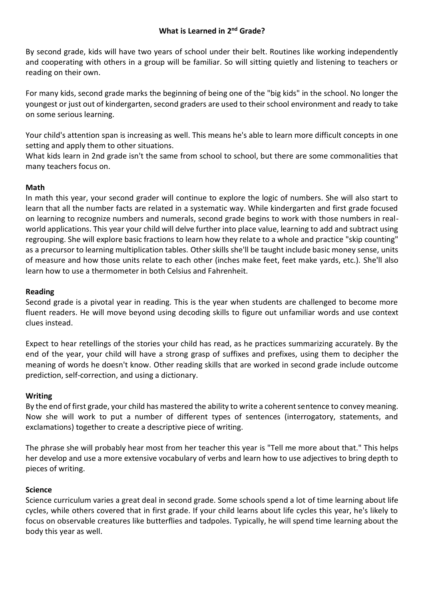# **What is Learned in 2<sup>nd</sup> Grade?**

By second grade, kids will have two years of school under their belt. Routines like working independently and cooperating with others in a group will be familiar. So will sitting quietly and listening to teachers or reading on their own.

For many kids, second grade marks the beginning of being one of the "big kids" in the school. No longer the youngest or just out of kindergarten, second graders are used to their school environment and ready to take on some serious learning.

Your child's attention span is increasing as well. This means he's able to learn more difficult concepts in one setting and apply them to other situations.

What kids learn in 2nd grade isn't the same from school to school, but there are some commonalities that many teachers focus on.

# **Math**

In math this year, your second grader will continue to explore the logic of numbers. She will also start to learn that all the number facts are related in a systematic way. While kindergarten and first grade focused on learning to recognize numbers and numerals, second grade begins to work with those numbers in realworld applications. This year your child will delve further into place value, learning to add and subtract using regrouping. She will explore basic fractions to learn how they relate to a whole and practice "skip counting" as a precursor to learning multiplication tables. Other skills she'll be taught include basic money sense, units of measure and how those units relate to each other (inches make feet, feet make yards, etc.). She'll also learn how to use a thermometer in both Celsius and Fahrenheit.

# **Reading**

Second grade is a pivotal year in reading. This is the year when students are challenged to become more fluent readers. He will move beyond using decoding skills to figure out unfamiliar words and use context clues instead.

Expect to hear retellings of the stories your child has read, as he practices summarizing accurately. By the end of the year, your child will have a strong grasp of suffixes and prefixes, using them to decipher the meaning of words he doesn't know. Other reading skills that are worked in second grade include outcome prediction, self-correction, and using a dictionary.

# **Writing**

By the end of first grade, your child has mastered the ability to write a coherent sentence to convey meaning. Now she will work to put a number of different types of sentences (interrogatory, statements, and exclamations) together to create a descriptive piece of writing.

The phrase she will probably hear most from her teacher this year is "Tell me more about that." This helps her develop and use a more extensive vocabulary of verbs and learn how to use adjectives to bring depth to pieces of writing.

# **Science**

Science curriculum varies a great deal in second grade. Some schools spend a lot of time learning about life cycles, while others covered that in first grade. If your child learns about life cycles this year, he's likely to focus on observable creatures like butterflies and tadpoles. Typically, he will spend time learning about the body this year as well.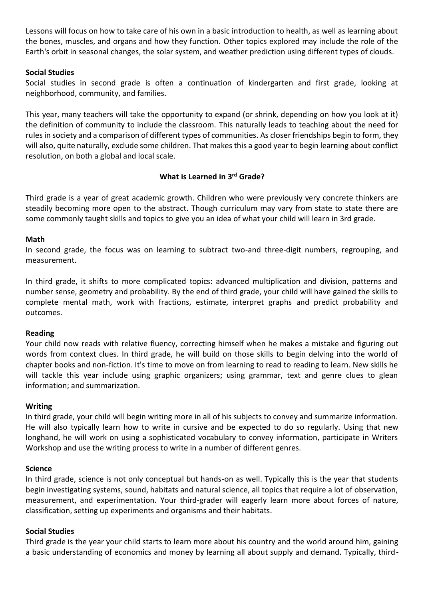Lessons will focus on how to take care of his own in a basic introduction to health, as well as learning about the bones, muscles, and organs and how they function. Other topics explored may include the role of the Earth's orbit in seasonal changes, the solar system, and weather prediction using different types of clouds.

## **Social Studies**

Social studies in second grade is often a continuation of kindergarten and first grade, looking at neighborhood, community, and families.

This year, many teachers will take the opportunity to expand (or shrink, depending on how you look at it) the definition of community to include the classroom. This naturally leads to teaching about the need for rules in society and a comparison of different types of communities. As closer friendships begin to form, they will also, quite naturally, exclude some children. That makes this a good year to begin learning about conflict resolution, on both a global and local scale.

## **What is Learned in 3 rd Grade?**

Third grade is a year of great academic growth. Children who were previously very concrete thinkers are steadily becoming more open to the abstract. Though curriculum may vary from state to state there are some commonly taught skills and topics to give you an idea of what your child will learn in 3rd grade.

### **Math**

In [second grade,](https://www.verywell.com/what-you-can-expect-in-2nd-grade-620859) the focus was on learning to subtract two-and three-digit numbers, regrouping, and measurement.

In third grade, it shifts to more complicated topics: advanced multiplication and division, patterns and number sense, geometry and probability. By the end of third grade, your child will have gained the skills to complete mental math, work with fractions, estimate, interpret graphs and predict probability and outcomes.

### **Reading**

Your child now [reads](https://www.verywell.com/which-childrens-books-deal-with-building-confidence-3024244) with relative fluency, correcting himself when he makes a mistake and figuring out words from context clues. In third grade, he will build on those skills to begin delving into the world of chapter books and non-fiction. It's time to move on from learning to read to reading to learn. New skills he will tackle this year include using graphic organizers; using grammar, text and genre clues to glean information; and summarization.

### **Writing**

In third grade, your child will begin writing more in all of his subjects to convey and summarize information. He will also typically learn how to write in cursive and be expected to do so regularly. Using that new longhand, he will work on using a sophisticated vocabulary to convey information, participate in Writers Workshop and use the writing process to write in a number of different genres.

### **Science**

In third grade, science is not only conceptual but hands-on as well. Typically this is the year that students begin investigating systems, sound, habitats and natural science, all topics that require a lot of observation, measurement, and experimentation. Your third-grader will eagerly learn more about forces of nature, classification, setting up experiments and organisms and their habitats.

### **Social Studies**

Third grade is the year your child starts to learn more about his country and the world around him, gaining a basic understanding of economics and money by learning all about supply and demand. Typically, third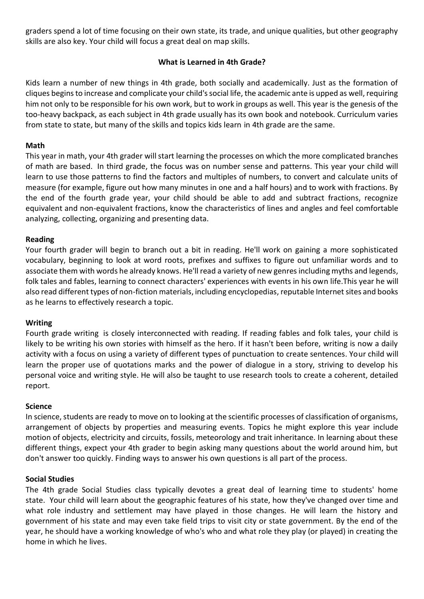graders spend a lot of time focusing on their own state, its trade, and unique qualities, but other geography skills are also key. Your child will focus a great deal on map skills.

# **What is Learned in 4th Grade?**

Kids learn a number of new things in 4th grade, both socially and academically. Just as the formation o[f](https://www.verywell.com/how-to-help-your-child-cope-with-cliques-3891034) [cliques](https://www.verywell.com/how-to-help-your-child-cope-with-cliques-3891034) begins to increase and complicate your child's social life, the academic ante is upped as well, requiring him not only to be responsible for his own work, but to work in groups as well. This year is the genesis of the too-heavy backpack, as each subject in 4th grade usually has its own book and notebook. Curriculum varies from state to state, but many of the skills and topics kids learn [in 4th grade](https://www.verywell.com/3-year-old-development-and-milestones-2764712) are the same.

### **Math**

This year in math, your [4th grader](https://www.verywell.com/what-you-can-expect-in-4th-grade-620861) will start learning the processes on which the more complicated branches of math are based. In [third grade,](https://www.verywell.com/what-your-child-will-learn-in-3rd-grade-620910) the focus was on number sense and patterns. This year your child will learn to use those patterns to find the factors and multiples of numbers, to convert and calculate units of measure (for example, figure out how many minutes in one and a half hours) and to work with fractions. By the end of the fourth grade year, your child should be able to add and subtract fractions, recognize equivalent and non-equivalent fractions, know the characteristics of lines and angles and feel comfortable analyzing, collecting, organizing and presenting data.

#### **Reading**

Your fourth grader will begin to branch out a bit in reading. He'll work on gaining a more sophisticated vocabulary, beginning to look at word roots, prefixes and suffixes to figure out unfamiliar words and to associate them with words he already knows. He'll read a variety of new genres including myths and legends, folk tales and fables, learning to connect characters' experiences with events in his own life.This year he will also read different types of non-fiction materials, including encyclopedias, reputable Internet sites and books as he learns to effectively research a topic.

### **Writing**

Fourth grade writing is closely interconnected with reading. If reading fables and folk tales, your child is likely to be writing his own stories with himself as the hero. If it hasn't been before, writing is now a daily activity with a focus on using a variety of different types of punctuation to create sentences. Your child will learn the proper use of quotations marks and the power of dialogue in a story, striving to develop his personal voice and [writing style.](https://www.verywell.com/four-types-of-writing-620805) He will also be taught to use research tools to create a coherent, detailed report.

#### **Science**

In science, students are ready to move on to looking at the scientific processes of classification of organisms, arrangement of objects by properties and measuring events. Topics he might explore this year include motion of objects, electricity and circuits, fossils, meteorology and trait inheritance. In learning about these different things, expect your 4th grader to begin asking many questions about the world around him, but don't answer too quickly. Finding ways to answer his own questions is all part of the process.

#### **Social Studies**

The 4th grade Social Studies class typically devotes a great deal of learning time to students' home state. Your child will learn about the geographic features of his state, how they've changed over time and what role industry and settlement may have played in those changes. He will learn the history and government of his state and may even take field trips to visit city or state government. By the end of the year, he should have a working knowledge of who's who and what role they play (or played) in creating the home in which he lives.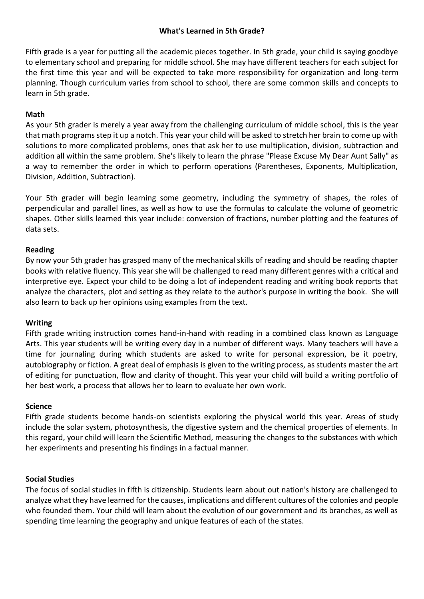# **What's Learned in 5th Grade?**

[Fifth grade](https://www.verywell.com/a-parents-guide-to-fifth-grade-620923) is a year for putting all the academic pieces together. In 5th grade, your child is saying goodbye to [elementary school](https://www.verywell.com/what-your-child-will-learn-grade-guide-620869) and preparing for [middle school.](https://www.verywell.com/your-childs-middle-school-schedule-3288145) She may have different teachers for each subject for the first time this year and will be expected to take more responsibility for organization and long-term planning. Though curriculum varies from school to school, there are some common skills and concepts to learn in [5th grade.](https://www.verywell.com/what-you-can-expect-your-child-to-learn-in-grade-school-621044)

## **Math**

As your [5th grader](https://www.verywell.com/what-you-can-expect-in-5th-grade-620862) is merely a year away from the challenging curriculum of [middle school,](https://www.verywell.com/what-is-middle-school-3288076) this is the year that math programs step it up a notch. This year your child will be asked to stretch her brain to come up with solutions to more complicated problems, ones that ask her to use multiplication, [division,](https://www.verywell.com/5th-grade-forgiving-method-long-division-621047) subtraction and addition all within the same problem. She's likely to learn the phrase "Please Excuse My Dear Aunt Sally" as a way to remember the order in which to perform operations (Parentheses, Exponents, Multiplication, Division, Addition, Subtraction).

Your 5th grader will begin learning some geometry, including the symmetry of shapes, the roles of perpendicular and parallel lines, as well as how to use the formulas to calculate the volume of geometric shapes. Other skills learned this year include: conversion of fractions, number plotting and the features of data sets.

## **Reading**

By now your 5th grader has grasped many of the mechanical skills of reading and should be reading chapter books wit[h relative fluency.](https://www.verywell.com/what-is-reading-fluency-p2-620984) This year she will be challenged to read many different genres with a critical and interpretive eye. Expect your child to be doing a lot of independent reading and writing book reports that analyze the characters, plot and setting as they relate to the author's purpose in writing the book. She will also learn to back up her opinions using examples from the text.

### **Writing**

Fifth grade writing instruction comes hand-in-hand with reading in a combined class known as Language Arts. This year students will be writing every day in a number of different ways. Many teachers will have a time for journaling during which students are asked to write for personal expression, be it poetry, autobiography or fiction. A great deal of emphasis is given to the writing process, as students master the art of editing for punctuation, flow and clarity of thought. This year your child will build a writing portfolio of her best work, a process that allows her to learn to evaluate her own work.

### **Science**

Fifth grade students become hands-on scientists exploring the physical world this year. Areas of study include the solar system, photosynthesis, the digestive system and the chemical properties of elements. In this regard, your child will learn the Scientific Method, measuring the changes to the substances with which her experiments and presenting his findings in a factual manner.

### **Social Studies**

The focus of social studies in fifth is citizenship. Students learn about out nation's history are challenged to analyze what they have learned for the causes, implications and different cultures of the colonies and people who founded them. Your child will learn about the evolution of our government and its branches, as well as spending time learning the geography and unique features of each of the states.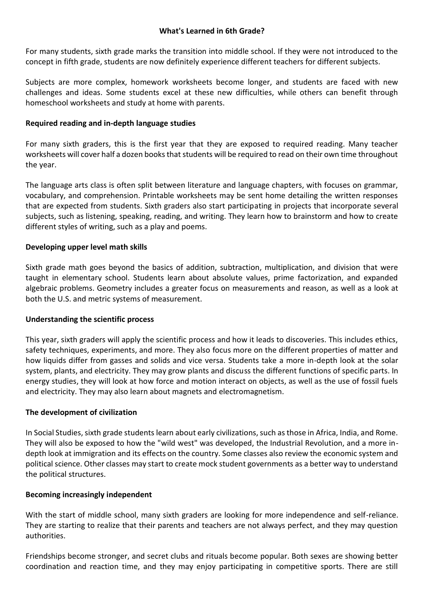## **What's Learned in 6th Grade?**

For many students, sixth grade marks the transition into middle school. If they were not introduced to the concept in fifth grade, students are now definitely experience different teachers for different subjects.

Subjects are more complex, homework worksheets become longer, and students are faced with new challenges and ideas. Some students excel at these new difficulties, while others can benefit through homeschool worksheets and study at home with parents.

## **Required reading and in-depth language studies**

For many sixth graders, this is the first year that they are exposed to required reading. Many teacher worksheets will cover half a dozen books that students will be required to read on their own time throughout the year.

The language arts class is often split between literature and language chapters, with focuses on grammar, vocabulary, and comprehension. Printable worksheets may be sent home detailing the written responses that are expected from students. Sixth graders also start participating in projects that incorporate several subjects, such as listening, speaking, reading, and writing. They learn how to brainstorm and how to create different styles of writing, such as a play and poems.

## **Developing upper level math skills**

Sixth grade math goes beyond the basics of addition, subtraction, multiplication, and division that were taught in elementary school. Students learn about absolute values, prime factorization, and expanded algebraic problems. Geometry includes a greater focus on measurements and reason, as well as a look at both the U.S. and metric systems of measurement.

### **Understanding the scientific process**

This year, sixth graders will apply the scientific process and how it leads to discoveries. This includes ethics, safety techniques, experiments, and more. They also focus more on the different properties of matter and how liquids differ from gasses and solids and vice versa. Students take a more in-depth look at the solar system, plants, and electricity. They may grow plants and discuss the different functions of specific parts. In energy studies, they will look at how force and motion interact on objects, as well as the use of fossil fuels and electricity. They may also learn about magnets and electromagnetism.

### **The development of civilization**

In Social Studies, sixth grade students learn about early civilizations, such as those in Africa, India, and Rome. They will also be exposed to how the "wild west" was developed, the Industrial Revolution, and a more indepth look at immigration and its effects on the country. Some classes also review the economic system and political science. Other classes may start to create mock student governments as a better way to understand the political structures.

### **Becoming increasingly independent**

With the start of middle school, many sixth graders are looking for more independence and self-reliance. They are starting to realize that their parents and teachers are not always perfect, and they may question authorities.

Friendships become stronger, and secret clubs and rituals become popular. Both sexes are showing better coordination and reaction time, and they may enjoy participating in competitive sports. There are still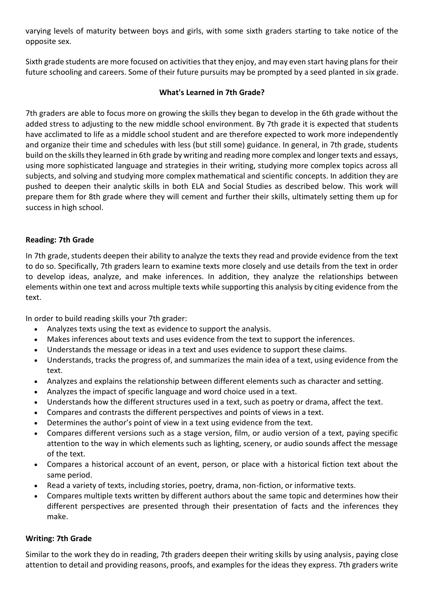varying levels of maturity between boys and girls, with some sixth graders starting to take notice of the opposite sex.

Sixth grade students are more focused on activities that they enjoy, and may even start having plans for their future schooling and careers. Some of their future pursuits may be prompted by a seed planted in six grade.

# **What's Learned in 7th Grade?**

7th graders are able to focus more on growing the skills they began to develop in the 6th grade without the added stress to adjusting to the new middle school environment. By 7th grade it is expected that students have acclimated to life as a middle school student and are therefore expected to work more independently and organize their time and schedules with less (but still some) guidance. In general, in 7th grade, students build on the skills they learned in 6th grade by writing and reading more complex and longer texts and essays, using more sophisticated language and strategies in their writing, studying more complex topics across all subjects, and solving and studying more complex mathematical and scientific concepts. In addition they are pushed to deepen their analytic skills in both ELA and Social Studies as described below. This work will prepare them for 8th grade where they will cement and further their skills, ultimately setting them up for success in high school.

# **Reading: 7th Grade**

In 7th grade, students deepen their ability to analyze the texts they read and provide evidence from the text to do so. Specifically, 7th graders learn to examine texts more closely and use details from the text in order to develop ideas, analyze, and make inferences. In addition, they analyze the relationships between elements within one text and across multiple texts while supporting this analysis by citing evidence from the text.

In order to build reading skills your 7th grader:

- Analyzes texts using the text as evidence to support the analysis.
- Makes inferences about texts and uses evidence from the text to support the inferences.
- Understands the message or ideas in a text and uses evidence to support these claims.
- Understands, tracks the progress of, and summarizes the main idea of a text, using evidence from the text.
- Analyzes and explains the relationship between different elements such as character and setting.
- Analyzes the impact of specific language and word choice used in a text.
- Understands how the different structures used in a text, such as poetry or drama, affect the text.
- Compares and contrasts the different perspectives and points of views in a text.
- Determines the author's point of view in a text using evidence from the text.
- Compares different versions such as a stage version, film, or audio version of a text, paying specific attention to the way in which elements such as lighting, scenery, or audio sounds affect the message of the text.
- Compares a historical account of an event, person, or place with a historical fiction text about the same period.
- Read a variety of texts, including stories, poetry, drama, non-fiction, or informative texts.
- Compares multiple texts written by different authors about the same topic and determines how their different perspectives are presented through their presentation of facts and the inferences they make.

# **Writing: 7th Grade**

Similar to the work they do in reading, 7th graders deepen their writing skills by using analysis, paying close attention to detail and providing reasons, proofs, and examples for the ideas they express. 7th graders write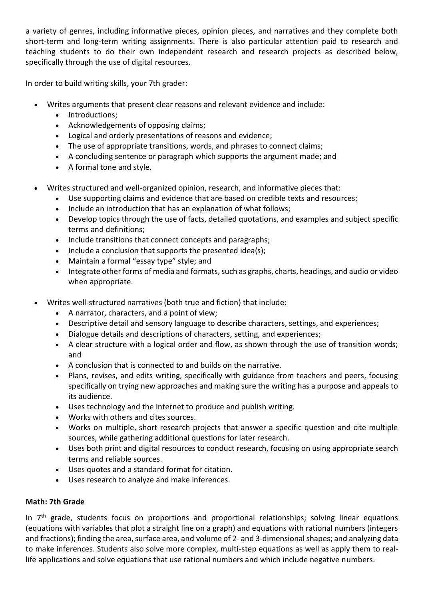a variety of genres, including informative pieces, opinion pieces, and narratives and they complete both short-term and long-term writing assignments. There is also particular attention paid to research and teaching students to do their own independent research and research projects as described below, specifically through the use of digital resources.

In order to build writing skills, your 7th grader:

- Writes arguments that present clear reasons and relevant evidence and include:
	- Introductions;
	- Acknowledgements of opposing claims;
	- Logical and orderly presentations of reasons and evidence;
	- The use of appropriate transitions, words, and phrases to connect claims;
	- A concluding sentence or paragraph which supports the argument made; and
	- A formal tone and style.
- Writes structured and well-organized opinion, research, and informative pieces that:
	- Use supporting claims and evidence that are based on credible texts and resources;
	- Include an introduction that has an explanation of what follows;
	- Develop topics through the use of facts, detailed quotations, and examples and subject specific terms and definitions;
	- Include transitions that connect concepts and paragraphs;
	- Include a conclusion that supports the presented idea(s);
	- Maintain a formal "essay type" style; and
	- Integrate other forms of media and formats, such as graphs, charts, headings, and audio or video when appropriate.
- Writes well-structured narratives (both true and fiction) that include:
	- A narrator, characters, and a point of view;
	- Descriptive detail and sensory language to describe characters, settings, and experiences;
	- Dialogue details and descriptions of characters, setting, and experiences;
	- A clear structure with a logical order and flow, as shown through the use of transition words; and
	- A conclusion that is connected to and builds on the narrative.
	- Plans, revises, and edits writing, specifically with guidance from teachers and peers, focusing specifically on trying new approaches and making sure the writing has a purpose and appeals to its audience.
	- Uses technology and the Internet to produce and publish writing.
	- Works with others and cites sources.
	- Works on multiple, short research projects that answer a specific question and cite multiple sources, while gathering additional questions for later research.
	- Uses both print and digital resources to conduct research, focusing on using appropriate search terms and reliable sources.
	- Uses quotes and a standard format for citation.
	- Uses research to analyze and make inferences.

# **Math: 7th Grade**

In 7<sup>th</sup> grade, students focus on proportions and proportional relationships; solving linear equations (equations with variables that plot a straight line on a graph) and equations with rational numbers (integers and fractions); finding the area, surface area, and volume of 2- and 3-dimensional shapes; and analyzing data to make inferences. Students also solve more complex, multi-step equations as well as apply them to reallife applications and solve equations that use rational numbers and which include negative numbers.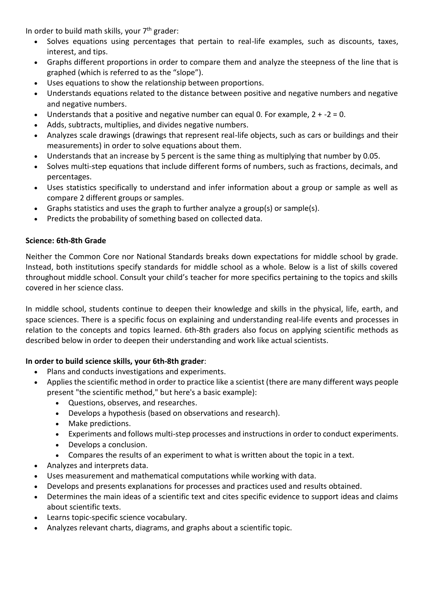In order to build math skills, your 7<sup>th</sup> grader:

- Solves equations using percentages that pertain to real-life examples, such as discounts, taxes, interest, and tips.
- Graphs different proportions in order to compare them and analyze the steepness of the line that is graphed (which is referred to as the "slope").
- Uses equations to show the relationship between proportions.
- Understands equations related to the distance between positive and negative numbers and negative and negative numbers.
- Understands that a positive and negative number can equal 0. For example,  $2 + -2 = 0$ .
- Adds, subtracts, multiplies, and divides negative numbers.
- Analyzes scale drawings (drawings that represent real-life objects, such as cars or buildings and their measurements) in order to solve equations about them.
- Understands that an increase by 5 percent is the same thing as multiplying that number by 0.05.
- Solves multi-step equations that include different forms of numbers, such as fractions, decimals, and percentages.
- Uses statistics specifically to understand and infer information about a group or sample as well as compare 2 different groups or samples.
- Graphs statistics and uses the graph to further analyze a group(s) or sample(s).
- Predicts the probability of something based on collected data.

## **Science: 6th-8th Grade**

Neither the Common Core nor National Standards breaks down expectations for middle school by grade. Instead, both institutions specify standards for middle school as a whole. Below is a list of skills covered throughout middle school. Consult your child's teacher for more specifics pertaining to the topics and skills covered in her science class.

In middle school, students continue to deepen their knowledge and skills in the physical, life, earth, and space sciences. There is a specific focus on explaining and understanding real-life events and processes in relation to the concepts and topics learned. 6th-8th graders also focus on applying scientific methods as described below in order to deepen their understanding and work like actual scientists.

# **In order to build science skills, your 6th-8th grader**:

- Plans and conducts investigations and experiments.
- Applies the scientific method in order to practice like a scientist (there are many different ways people present "the scientific method," but here's a basic example):
	- Questions, observes, and researches.
	- Develops a hypothesis (based on observations and research).
	- Make predictions.
	- Experiments and follows multi-step processes and instructions in order to conduct experiments.
	- Develops a conclusion.
	- Compares the results of an experiment to what is written about the topic in a text.
- Analyzes and interprets data.
- Uses measurement and mathematical computations while working with data.
- Develops and presents explanations for processes and practices used and results obtained.
- Determines the main ideas of a scientific text and cites specific evidence to support ideas and claims about scientific texts.
- Learns topic-specific science vocabulary.
- Analyzes relevant charts, diagrams, and graphs about a scientific topic.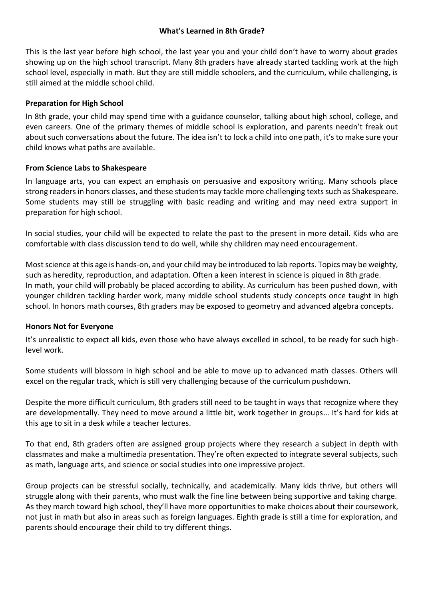## **What's Learned in 8th Grade?**

This is the last year before high school, the last year you and your child don't have to worry about grades showing up on the high school transcript. Many 8th graders have already started tackling work at the high school level, especially in math. But they are still middle schoolers, and the curriculum, while challenging, is still aimed at the middle school child.

## **Preparation for High School**

In 8th grade, your child may spend time with a guidance counselor, talking about high school, college, and even careers. One of the primary themes of middle school is exploration, and parents needn't freak out about such conversations about the future. The idea isn't to lock a child into one path, it's to make sure your child knows what paths are available.

## **From Science Labs to Shakespeare**

In language arts, you can expect an emphasis on persuasive and expository writing. Many schools place strong readers in honors classes, and these students may tackle more challenging texts such as Shakespeare. Some students may still be struggling with basic reading and writing and may need extra support in preparation for high school.

In social studies, your child will be expected to relate the past to the present in more detail. Kids who are comfortable with class discussion tend to do well, while shy children may need encouragement.

Most science at this age is hands-on, and your child may be introduced to lab reports. Topics may be weighty, such as heredity, reproduction, and adaptation. Often a keen interest in science is piqued in 8th grade. In math, your child will probably be placed according to ability. As curriculum has been pushed down, with younger children tackling harder work, many middle school students study concepts once taught in high school. In honors math courses, 8th graders may be exposed to geometry and advanced algebra concepts.

# **Honors Not for Everyone**

It's unrealistic to expect all kids, even those who have always excelled in school, to be ready for such highlevel work.

Some students will blossom in high school and be able to move up to advanced math classes. Others will excel on the regular track, which is still very challenging because of the curriculum pushdown.

Despite the more difficult curriculum, 8th graders still need to be taught in ways that recognize where they are developmentally. They need to move around a little bit, work together in groups… It's hard for kids at this age to sit in a desk while a teacher lectures.

To that end, 8th graders often are assigned group projects where they research a subject in depth with classmates and make a multimedia presentation. They're often expected to integrate several subjects, such as math, language arts, and science or social studies into one impressive project.

Group projects can be stressful socially, technically, and academically. Many kids thrive, but others will struggle along with their parents, who must walk the fine line between being supportive and taking charge. As they march toward high school, they'll have more opportunities to make choices about their coursework, not just in math but also in areas such as foreign languages. Eighth grade is still a time for exploration, and parents should encourage their child to try different things.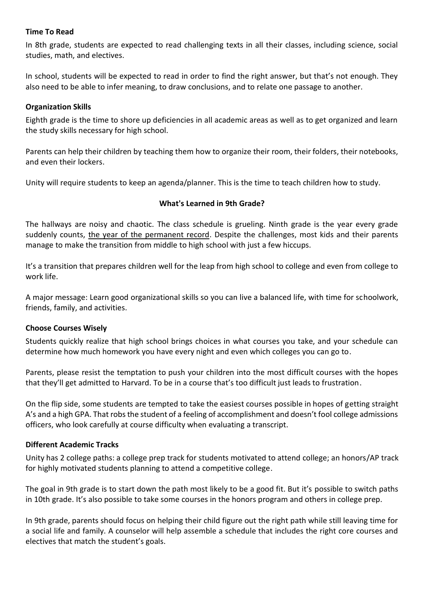## **Time To Read**

In 8th grade, students are expected to read challenging texts in all their classes, including science, social studies, math, and electives.

In school, students will be expected to read in order to find the right answer, but that's not enough. They also need to be able to infer meaning, to draw conclusions, and to relate one passage to another.

## **Organization Skills**

Eighth grade is the time to shore up deficiencies in all academic areas as well as to get organized and learn the study skills necessary for high school.

Parents can help their children by teaching them how to organize their room, their folders, their notebooks, and even their lockers.

Unity will require students to keep an agenda/planner. This is the time to teach children how to study.

## **What's Learned in 9th Grade?**

The hallways are noisy and chaotic. The class schedule is grueling. Ninth grade is the year every grade suddenly counts, the year of the permanent record. Despite the challenges, most kids and their parents manage to make the transition from middle to high school with just a few hiccups.

It's a transition that prepares children well for the leap from high school to college and even from college to work life.

A major message: Learn good organizational skills so you can live a balanced life, with time for schoolwork, friends, family, and activities.

### **Choose Courses Wisely**

Students quickly realize that high school brings choices in what courses you take, and your schedule can determine how much homework you have every night and even which colleges you can go to.

Parents, please resist the temptation to push your children into the most difficult courses with the hopes that they'll get admitted to Harvard. To be in a course that's too difficult just leads to frustration.

On the flip side, some students are tempted to take the easiest courses possible in hopes of getting straight A's and a high GPA. That robs the student of a feeling of accomplishment and doesn't fool college admissions officers, who look carefully at course difficulty when evaluating a transcript.

### **Different Academic Tracks**

Unity has 2 college paths: a college prep track for students motivated to attend college; an honors/AP track for highly motivated students planning to attend a competitive college.

The goal in 9th grade is to start down the path most likely to be a good fit. But it's possible to switch paths in 10th grade. It's also possible to take some courses in the honors program and others in college prep.

In 9th grade, parents should focus on helping their child figure out the right path while still leaving time for a social life and family. A counselor will help assemble a schedule that includes the right core courses and electives that match the student's goals.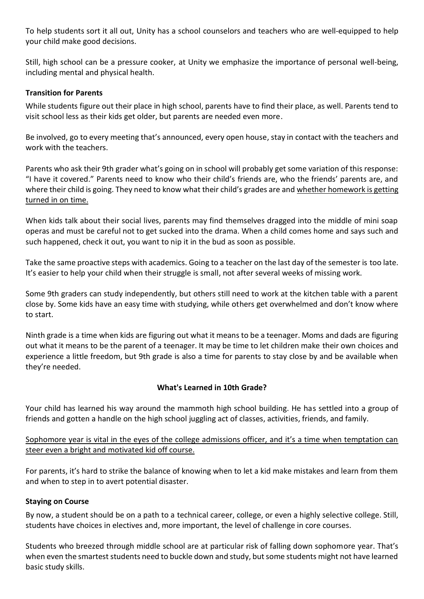To help students sort it all out, Unity has a school counselors and teachers who are well-equipped to help your child make good decisions.

Still, high school can be a pressure cooker, at Unity we emphasize the importance of personal well-being, including mental and physical health.

## **Transition for Parents**

While students figure out their place in high school, parents have to find their place, as well. Parents tend to visit school less as their kids get older, but parents are needed even more.

Be involved, go to every meeting that's announced, every open house, stay in contact with the teachers and work with the teachers.

Parents who ask their 9th grader what's going on in school will probably get some variation of this response: "I have it covered." Parents need to know who their child's friends are, who the friends' parents are, and where their child is going. They need to know what their child's grades are and whether homework is getting turned in on time.

When kids talk about their social lives, parents may find themselves dragged into the middle of mini soap operas and must be careful not to get sucked into the drama. When a child comes home and says such and such happened, check it out, you want to nip it in the bud as soon as possible.

Take the same proactive steps with academics. Going to a teacher on the last day of the semester is too late. It's easier to help your child when their struggle is small, not after several weeks of missing work.

Some 9th graders can study independently, but others still need to work at the kitchen table with a parent close by. Some kids have an easy time with studying, while others get overwhelmed and don't know where to start.

Ninth grade is a time when kids are figuring out what it means to be a teenager. Moms and dads are figuring out what it means to be the parent of a teenager. It may be time to let children make their own choices and experience a little freedom, but 9th grade is also a time for parents to stay close by and be available when they're needed.

# **What's Learned in 10th Grade?**

Your child has learned his way around the mammoth high school building. He has settled into a group of friends and gotten a handle on the high school juggling act of classes, activities, friends, and family.

Sophomore year is vital in the eyes of the college admissions officer, and it's a time when temptation can steer even a bright and motivated kid off course.

For parents, it's hard to strike the balance of knowing when to let a kid make mistakes and learn from them and when to step in to avert potential disaster.

### **Staying on Course**

By now, a student should be on a path to a technical career, college, or even a highly selective college. Still, students have choices in electives and, more important, the level of challenge in core courses.

Students who breezed through middle school are at particular risk of falling down sophomore year. That's when even the smartest students need to buckle down and study, but some students might not have learned basic study skills.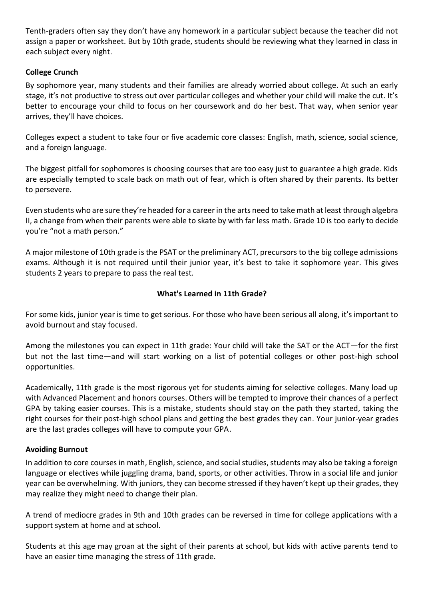Tenth-graders often say they don't have any homework in a particular subject because the teacher did not assign a paper or worksheet. But by 10th grade, students should be reviewing what they learned in class in each subject every night.

# **College Crunch**

By sophomore year, many students and their families are already worried about college. At such an early stage, it's not productive to stress out over particular colleges and whether your child will make the cut. It's better to encourage your child to focus on her coursework and do her best. That way, when senior year arrives, they'll have choices.

Colleges expect a student to take four or five academic core classes: English, math, science, social science, and a foreign language.

The biggest pitfall for sophomores is choosing courses that are too easy just to guarantee a high grade. Kids are especially tempted to scale back on math out of fear, which is often shared by their parents. Its better to persevere.

Even students who are sure they're headed for a career in the arts need to take math at least through algebra II, a change from when their parents were able to skate by with far less math. Grade 10 is too early to decide you're "not a math person."

A major milestone of 10th grade is the PSAT or the preliminary ACT, precursors to the big college admissions exams. Although it is not required until their junior year, it's best to take it sophomore year. This gives students 2 years to prepare to pass the real test.

# **What's Learned in 11th Grade?**

For some kids, junior year is time to get serious. For those who have been serious all along, it's important to avoid burnout and stay focused.

Among the milestones you can expect in 11th grade: Your child will take the SAT or the ACT—for the first but not the last time—and will start working on a list of potential colleges or other post-high school opportunities.

Academically, 11th grade is the most rigorous yet for students aiming for selective colleges. Many load up with Advanced Placement and honors courses. Others will be tempted to improve their chances of a perfect GPA by taking easier courses. This is a mistake, students should stay on the path they started, taking the right courses for their post-high school plans and getting the best grades they can. Your junior-year grades are the last grades colleges will have to compute your GPA.

# **Avoiding Burnout**

In addition to core courses in math, English, science, and social studies, students may also be taking a foreign language or electives while juggling drama, band, sports, or other activities. Throw in a social life and junior year can be overwhelming. With juniors, they can become stressed if they haven't kept up their grades, they may realize they might need to change their plan.

A trend of mediocre grades in 9th and 10th grades can be reversed in time for college applications with a support system at home and at school.

Students at this age may groan at the sight of their parents at school, but kids with active parents tend to have an easier time managing the stress of 11th grade.